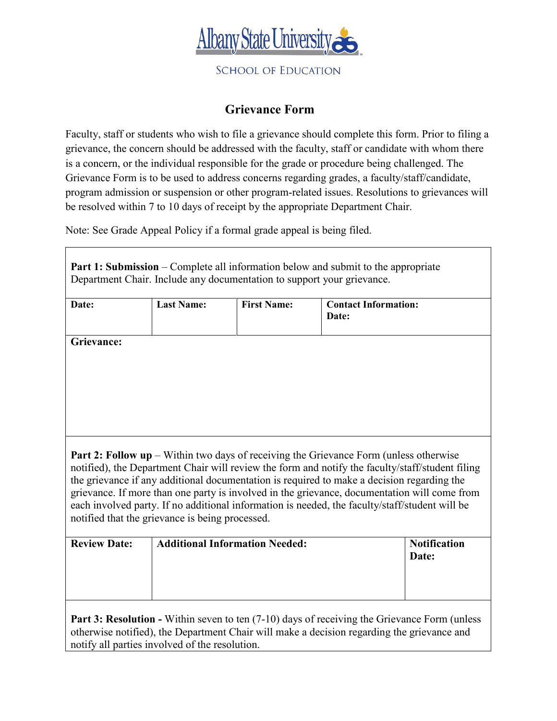

**SCHOOL OF EDUCATION** 

## **Grievance Form**

Faculty, staff or students who wish to file a grievance should complete this form. Prior to filing a grievance, the concern should be addressed with the faculty, staff or candidate with whom there is a concern, or the individual responsible for the grade or procedure being challenged. The Grievance Form is to be used to address concerns regarding grades, a faculty/staff/candidate, program admission or suspension or other program-related issues. Resolutions to grievances will be resolved within 7 to 10 days of receipt by the appropriate Department Chair.

Note: See Grade Appeal Policy if a formal grade appeal is being filed.

| <b>Part 1: Submission</b> – Complete all information below and submit to the appropriate<br>Department Chair. Include any documentation to support your grievance.                                                                                                                                                                                                                                                                                                                                                    |                                       |                    |                                      |                              |  |
|-----------------------------------------------------------------------------------------------------------------------------------------------------------------------------------------------------------------------------------------------------------------------------------------------------------------------------------------------------------------------------------------------------------------------------------------------------------------------------------------------------------------------|---------------------------------------|--------------------|--------------------------------------|------------------------------|--|
| Date:                                                                                                                                                                                                                                                                                                                                                                                                                                                                                                                 | <b>Last Name:</b>                     | <b>First Name:</b> | <b>Contact Information:</b><br>Date: |                              |  |
| <b>Grievance:</b><br><b>Part 2: Follow up</b> – Within two days of receiving the Grievance Form (unless otherwise<br>notified), the Department Chair will review the form and notify the faculty/staff/student filing<br>the grievance if any additional documentation is required to make a decision regarding the<br>grievance. If more than one party is involved in the grievance, documentation will come from<br>each involved party. If no additional information is needed, the faculty/staff/student will be |                                       |                    |                                      |                              |  |
| notified that the grievance is being processed.                                                                                                                                                                                                                                                                                                                                                                                                                                                                       |                                       |                    |                                      |                              |  |
| <b>Review Date:</b>                                                                                                                                                                                                                                                                                                                                                                                                                                                                                                   | <b>Additional Information Needed:</b> |                    |                                      | <b>Notification</b><br>Date: |  |
| <b>Part 3: Resolution -</b> Within seven to ten (7-10) days of receiving the Grievance Form (unless<br>otherwise notified), the Department Chair will make a decision regarding the grievance and<br>notify all parties involved of the resolution.                                                                                                                                                                                                                                                                   |                                       |                    |                                      |                              |  |